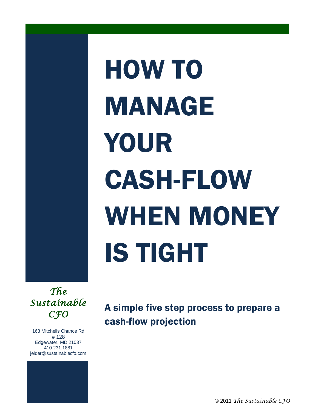# HOW TO MANAGE YOUR CASH-FLOW WHEN MONEY IS TIGHT

*The Sustainable CFO* 

163 Mitchells Chance Rd # 128 Edgewater, MD 21037 410.231.1881 jelder@sustainablecfo.com A simple five step process to prepare a cash-flow projection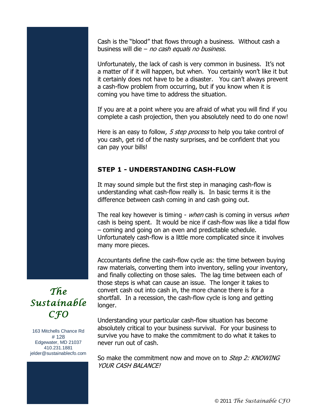Cash is the "blood" that flows through a business. Without cash a business will die – no cash equals no business.

Unfortunately, the lack of cash is very common in business. It's not a matter of if it will happen, but when. You certainly won't like it but it certainly does not have to be a disaster. You can't always prevent a cash-flow problem from occurring, but if you know when it is coming you have time to address the situation.

If you are at a point where you are afraid of what you will find if you complete a cash projection, then you absolutely need to do one now!

Here is an easy to follow, 5 step process to help you take control of you cash, get rid of the nasty surprises, and be confident that you can pay your bills!

## **STEP 1 - UNDERSTANDING CASH-FLOW**

It may sound simple but the first step in managing cash-flow is understanding what cash-flow really is. In basic terms it is the difference between cash coming in and cash going out.

The real key however is timing - when cash is coming in versus when cash is being spent. It would be nice if cash-flow was like a tidal flow – coming and going on an even and predictable schedule. Unfortunately cash-flow is a little more complicated since it involves many more pieces.

Accountants define the cash-flow cycle as: the time between buying raw materials, converting them into inventory, selling your inventory, and finally collecting on those sales. The lag time between each of those steps is what can cause an issue. The longer it takes to convert cash out into cash in, the more chance there is for a shortfall. In a recession, the cash-flow cycle is long and getting longer.

Understanding your particular cash-flow situation has become absolutely critical to your business survival. For your business to survive you have to make the commitment to do what it takes to never run out of cash.

So make the commitment now and move on to *Step 2: KNOWING* YOUR CASH BALANCE!

# *The Sustainable CFO*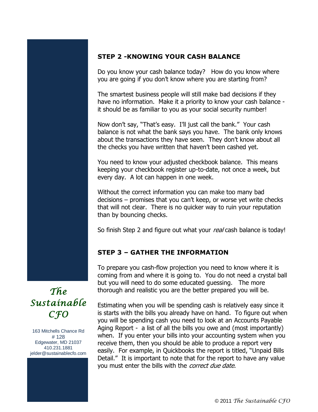#### **STEP 2 -KNOWING YOUR CASH BALANCE**

Do you know your cash balance today? How do you know where you are going if you don't know where you are starting from?

The smartest business people will still make bad decisions if they have no information. Make it a priority to know your cash balance it should be as familiar to you as your social security number!

Now don't say, "That's easy. I'll just call the bank." Your cash balance is not what the bank says you have. The bank only knows about the transactions they have seen. They don't know about all the checks you have written that haven't been cashed yet.

You need to know your adjusted checkbook balance. This means keeping your checkbook register up-to-date, not once a week, but every day. A lot can happen in one week.

Without the correct information you can make too many bad decisions – promises that you can't keep, or worse yet write checks that will not clear. There is no quicker way to ruin your reputation than by bouncing checks.

So finish Step 2 and figure out what your real cash balance is today!

### **STEP 3 – GATHER THE INFORMATION**

To prepare you cash-flow projection you need to know where it is coming from and where it is going to. You do not need a crystal ball but you will need to do some educated guessing. The more thorough and realistic you are the better prepared you will be.

Estimating when you will be spending cash is relatively easy since it is starts with the bills you already have on hand. To figure out when you will be spending cash you need to look at an Accounts Payable Aging Report - a list of all the bills you owe and (most importantly) when. If you enter your bills into your accounting system when you receive them, then you should be able to produce a report very easily. For example, in Quickbooks the report is titled, "Unpaid Bills Detail." It is important to note that for the report to have any value you must enter the bills with the correct due date.

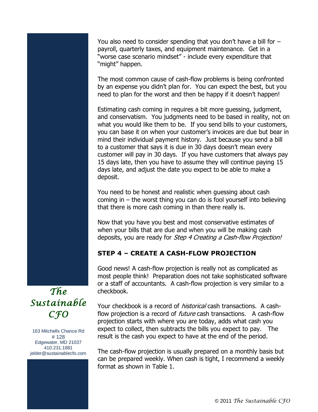You also need to consider spending that you don't have a bill for – payroll, quarterly taxes, and equipment maintenance. Get in a "worse case scenario mindset" - include every expenditure that "might" happen.

The most common cause of cash-flow problems is being confronted by an expense you didn't plan for. You can expect the best, but you need to plan for the worst and then be happy if it doesn't happen!

Estimating cash coming in requires a bit more guessing, judgment, and conservatism. You judgments need to be based in reality, not on what you would like them to be. If you send bills to your customers, you can base it on when your customer's invoices are due but bear in mind their individual payment history. Just because you send a bill to a customer that says it is due in 30 days doesn't mean every customer will pay in 30 days. If you have customers that always pay 15 days late, then you have to assume they will continue paying 15 days late, and adjust the date you expect to be able to make a deposit.

You need to be honest and realistic when guessing about cash coming in  $-$  the worst thing you can do is fool yourself into believing that there is more cash coming in than there really is.

Now that you have you best and most conservative estimates of when your bills that are due and when you will be making cash deposits, you are ready for Step 4 Creating a Cash-flow Projection!

#### **STEP 4 – CREATE A CASH-FLOW PROJECTION**

Good news! A cash-flow projection is really not as complicated as most people think! Preparation does not take sophisticated software or a staff of accountants. A cash-flow projection is very similar to a checkbook.

Your checkbook is a record of *historical* cash transactions. A cashflow projection is a record of *future* cash transactions. A cash-flow projection starts with where you are today, adds what cash you expect to collect, then subtracts the bills you expect to pay. The result is the cash you expect to have at the end of the period.

The cash-flow projection is usually prepared on a monthly basis but can be prepared weekly. When cash is tight, I recommend a weekly format as shown in Table 1.

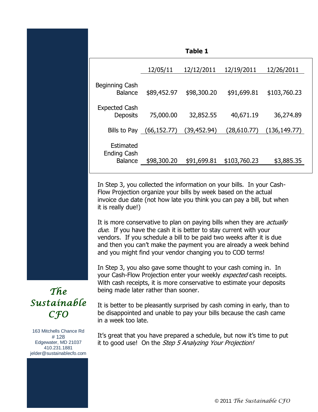|                                                   |              | <b>Table 1</b> |              |              |
|---------------------------------------------------|--------------|----------------|--------------|--------------|
|                                                   | 12/05/11     | 12/12/2011     | 12/19/2011   | 12/26/2011   |
| Beginning Cash<br><b>Balance</b>                  | \$89,452.97  | \$98,300.20    | \$91,699.81  | \$103,760.23 |
| <b>Expected Cash</b><br><b>Deposits</b>           | 75,000.00    | 32,852.55      | 40,671.19    | 36,274.89    |
| Bills to Pay                                      | (66, 152.77) | (39,452.94)    | (28,610.77)  | (136,149.77) |
| Estimated<br><b>Ending Cash</b><br><b>Balance</b> | \$98,300.20  | \$91,699.81    | \$103,760.23 | \$3,885.35   |

In Step 3, you collected the information on your bills. In your Cash-Flow Projection organize your bills by week based on the actual invoice due date (not how late you think you can pay a bill, but when it is really due!)

It is more conservative to plan on paying bills when they are *actually* due. If you have the cash it is better to stay current with your vendors. If you schedule a bill to be paid two weeks after it is due and then you can't make the payment you are already a week behind and you might find your vendor changing you to COD terms!

In Step 3, you also gave some thought to your cash coming in. In your Cash-Flow Projection enter your weekly *expected* cash receipts. With cash receipts, it is more conservative to estimate your deposits being made later rather than sooner.

It is better to be pleasantly surprised by cash coming in early, than to be disappointed and unable to pay your bills because the cash came in a week too late.

It's great that you have prepared a schedule, but now it's time to put it to good use! On the Step 5 Analyzing Your Projection!



163 Mitchells Chance Rd # 128 Edgewater, MD 21037 410.231.1881 jelder@sustainablecfo.com



© 2011 *The Sustainable CFO*